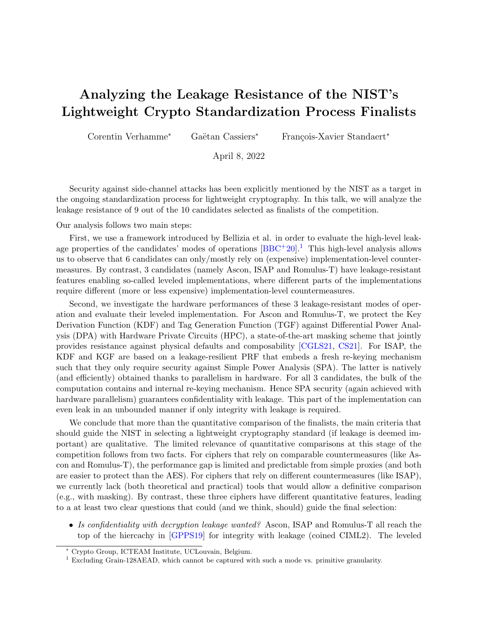## Analyzing the Leakage Resistance of the NIST's Lightweight Crypto Standardization Process Finalists

Corentin Verhamme<sup>∗</sup> Gaëtan Cassiers<sup>∗</sup> François-Xavier Standaert<sup>∗</sup>

April 8, 2022

Security against side-channel attacks has been explicitly mentioned by the NIST as a target in the ongoing standardization process for lightweight cryptography. In this talk, we will analyze the leakage resistance of 9 out of the 10 candidates selected as finalists of the competition.

Our analysis follows two main steps:

First, we use a framework introduced by Bellizia et al. in order to evaluate the high-level leakage properties of the candidates' modes of operations  $[BBC^+20]$  $[BBC^+20]$ .<sup>[1](#page-0-0)</sup> This high-level analysis allows us to observe that 6 candidates can only/mostly rely on (expensive) implementation-level countermeasures. By contrast, 3 candidates (namely Ascon, ISAP and Romulus-T) have leakage-resistant features enabling so-called leveled implementations, where different parts of the implementations require different (more or less expensive) implementation-level countermeasures.

Second, we investigate the hardware performances of these 3 leakage-resistant modes of operation and evaluate their leveled implementation. For Ascon and Romulus-T, we protect the Key Derivation Function (KDF) and Tag Generation Function (TGF) against Differential Power Analysis (DPA) with Hardware Private Circuits (HPC), a state-of-the-art masking scheme that jointly provides resistance against physical defaults and composability [\[CGLS21,](#page-2-0) [CS21\]](#page-2-1). For ISAP, the KDF and KGF are based on a leakage-resilient PRF that embeds a fresh re-keying mechanism such that they only require security against Simple Power Analysis (SPA). The latter is natively (and efficiently) obtained thanks to parallelism in hardware. For all 3 candidates, the bulk of the computation contains and internal re-keying mechanism. Hence SPA security (again achieved with hardware parallelism) guarantees confidentiality with leakage. This part of the implementation can even leak in an unbounded manner if only integrity with leakage is required.

We conclude that more than the quantitative comparison of the finalists, the main criteria that should guide the NIST in selecting a lightweight cryptography standard (if leakage is deemed important) are qualitative. The limited relevance of quantitative comparisons at this stage of the competition follows from two facts. For ciphers that rely on comparable countermeasures (like Ascon and Romulus-T), the performance gap is limited and predictable from simple proxies (and both are easier to protect than the AES). For ciphers that rely on different countermeasures (like ISAP), we currently lack (both theoretical and practical) tools that would allow a definitive comparison (e.g., with masking). By contrast, these three ciphers have different quantitative features, leading to a at least two clear questions that could (and we think, should) guide the final selection:

• Is confidentiality with decryption leakage wanted? Ascon, ISAP and Romulus-T all reach the top of the hiercachy in [\[GPPS19\]](#page-2-2) for integrity with leakage (coined CIML2). The leveled

<sup>∗</sup> Crypto Group, ICTEAM Institute, UCLouvain, Belgium.

<span id="page-0-0"></span><sup>1</sup> Excluding Grain-128AEAD, which cannot be captured with such a mode vs. primitive granularity.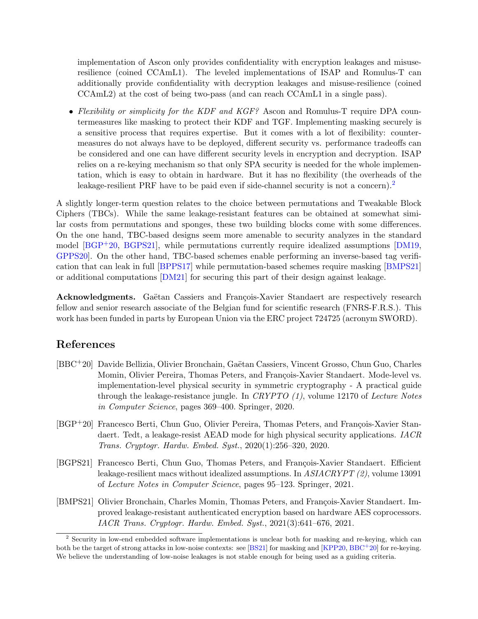implementation of Ascon only provides confidentiality with encryption leakages and misuseresilience (coined CCAmL1). The leveled implementations of ISAP and Romulus-T can additionally provide confidentiality with decryption leakages and misuse-resilience (coined CCAmL2) at the cost of being two-pass (and can reach CCAmL1 in a single pass).

• Flexibility or simplicity for the KDF and KGF? Ascon and Romulus-T require DPA countermeasures like masking to protect their KDF and TGF. Implementing masking securely is a sensitive process that requires expertise. But it comes with a lot of flexibility: countermeasures do not always have to be deployed, different security vs. performance tradeoffs can be considered and one can have different security levels in encryption and decryption. ISAP relies on a re-keying mechanism so that only SPA security is needed for the whole implementation, which is easy to obtain in hardware. But it has no flexibility (the overheads of the leakage-resilient PRF have to be paid even if side-channel security is not a concern).<sup>[2](#page-1-1)</sup>

A slightly longer-term question relates to the choice between permutations and Tweakable Block Ciphers (TBCs). While the same leakage-resistant features can be obtained at somewhat similar costs from permutations and sponges, these two building blocks come with some differences. On the one hand, TBC-based designs seem more amenable to security analyzes in the standard model  $[BGP<sup>+</sup>20, BGPS21]$  $[BGP<sup>+</sup>20, BGPS21]$  $[BGP<sup>+</sup>20, BGPS21]$ , while permutations currently require idealized assumptions  $[DM19,$ [GPPS20\]](#page-2-4). On the other hand, TBC-based schemes enable performing an inverse-based tag verification that can leak in full [\[BPPS17\]](#page-2-5) while permutation-based schemes require masking [\[BMPS21\]](#page-1-4) or additional computations [\[DM21\]](#page-2-6) for securing this part of their design against leakage.

Acknowledgments. Gaëtan Cassiers and François-Xavier Standaert are respectively research fellow and senior research associate of the Belgian fund for scientific research (FNRS-F.R.S.). This work has been funded in parts by European Union via the ERC project 724725 (acronym SWORD).

## References

- <span id="page-1-0"></span>[BBC<sup>+</sup>20] Davide Bellizia, Olivier Bronchain, Gaëtan Cassiers, Vincent Grosso, Chun Guo, Charles Momin, Olivier Pereira, Thomas Peters, and François-Xavier Standaert. Mode-level vs. implementation-level physical security in symmetric cryptography - A practical guide through the leakage-resistance jungle. In CRYPTO  $(1)$ , volume 12170 of Lecture Notes in Computer Science, pages 369–400. Springer, 2020.
- <span id="page-1-2"></span>[BGP<sup>+</sup>20] Francesco Berti, Chun Guo, Olivier Pereira, Thomas Peters, and François-Xavier Standaert. Tedt, a leakage-resist AEAD mode for high physical security applications. IACR Trans. Cryptogr. Hardw. Embed. Syst., 2020(1):256–320, 2020.
- <span id="page-1-3"></span>[BGPS21] Francesco Berti, Chun Guo, Thomas Peters, and François-Xavier Standaert. Efficient leakage-resilient macs without idealized assumptions. In ASIACRYPT (2), volume 13091 of Lecture Notes in Computer Science, pages 95–123. Springer, 2021.
- <span id="page-1-4"></span>[BMPS21] Olivier Bronchain, Charles Momin, Thomas Peters, and François-Xavier Standaert. Improved leakage-resistant authenticated encryption based on hardware AES coprocessors. IACR Trans. Cryptogr. Hardw. Embed. Syst., 2021(3):641–676, 2021.

<span id="page-1-1"></span><sup>2</sup> Security in low-end embedded software implementations is unclear both for masking and re-keying, which can both be the target of strong attacks in low-noise contexts: see [\[BS21\]](#page-2-7) for masking and [\[KPP20,](#page-2-8) [BBC](#page-1-0)<sup>+</sup>20] for re-keying. We believe the understanding of low-noise leakages is not stable enough for being used as a guiding criteria.